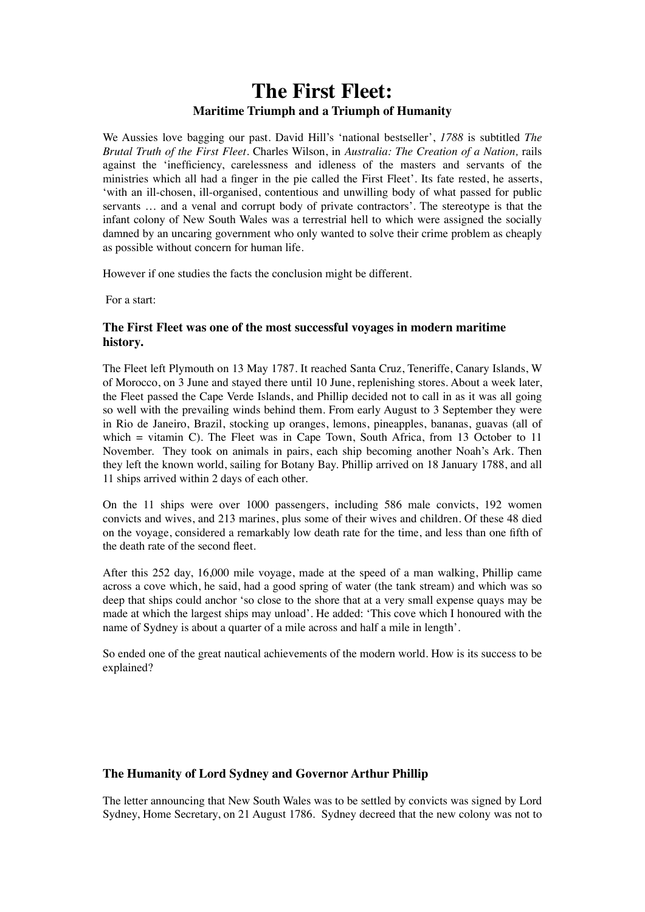# **The First Fleet: Maritime Triumph and a Triumph of Humanity**

We Aussies love bagging our past. David Hill's 'national bestseller', *1788* is subtitled *The Brutal Truth of the First Fleet.* Charles Wilson, in *Australia: The Creation of a Nation,* rails against the 'inefficiency, carelessness and idleness of the masters and servants of the ministries which all had a finger in the pie called the First Fleet'. Its fate rested, he asserts, 'with an ill-chosen, ill-organised, contentious and unwilling body of what passed for public servants … and a venal and corrupt body of private contractors'. The stereotype is that the infant colony of New South Wales was a terrestrial hell to which were assigned the socially damned by an uncaring government who only wanted to solve their crime problem as cheaply as possible without concern for human life.

However if one studies the facts the conclusion might be different.

For a start:

## **The First Fleet was one of the most successful voyages in modern maritime history.**

The Fleet left Plymouth on 13 May 1787. It reached Santa Cruz, Teneriffe, Canary Islands, W of Morocco, on 3 June and stayed there until 10 June, replenishing stores. About a week later, the Fleet passed the Cape Verde Islands, and Phillip decided not to call in as it was all going so well with the prevailing winds behind them. From early August to 3 September they were in Rio de Janeiro, Brazil, stocking up oranges, lemons, pineapples, bananas, guavas (all of which  $=$  vitamin C). The Fleet was in Cape Town, South Africa, from 13 October to 11 November. They took on animals in pairs, each ship becoming another Noah's Ark. Then they left the known world, sailing for Botany Bay. Phillip arrived on 18 January 1788, and all 11 ships arrived within 2 days of each other.

On the 11 ships were over 1000 passengers, including 586 male convicts, 192 women convicts and wives, and 213 marines, plus some of their wives and children. Of these 48 died on the voyage, considered a remarkably low death rate for the time, and less than one fifth of the death rate of the second fleet.

After this 252 day, 16,000 mile voyage, made at the speed of a man walking, Phillip came across a cove which, he said, had a good spring of water (the tank stream) and which was so deep that ships could anchor 'so close to the shore that at a very small expense quays may be made at which the largest ships may unload'. He added: 'This cove which I honoured with the name of Sydney is about a quarter of a mile across and half a mile in length'.

So ended one of the great nautical achievements of the modern world. How is its success to be explained?

## **The Humanity of Lord Sydney and Governor Arthur Phillip**

The letter announcing that New South Wales was to be settled by convicts was signed by Lord Sydney, Home Secretary, on 21 August 1786. Sydney decreed that the new colony was not to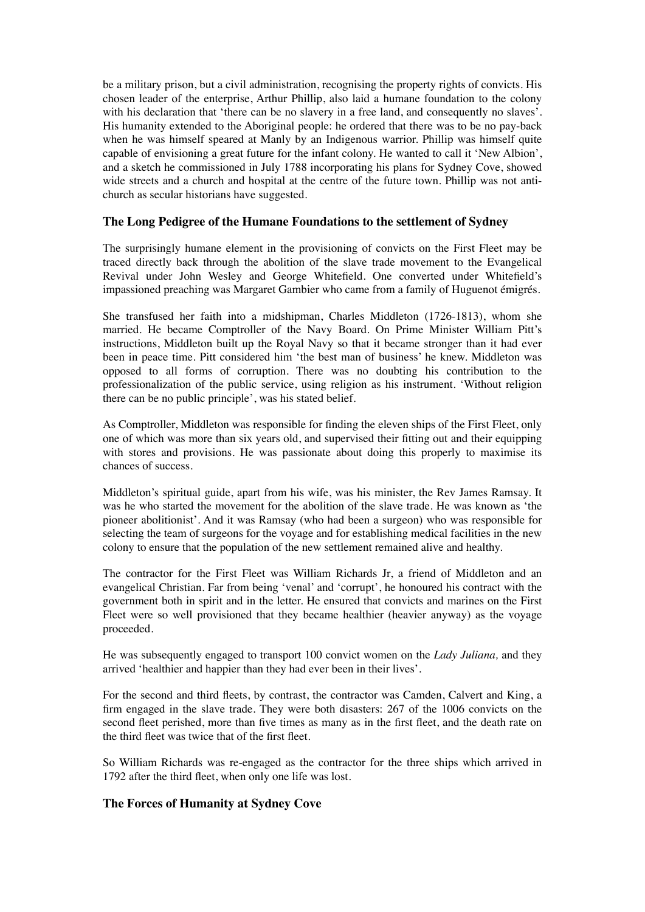be a military prison, but a civil administration, recognising the property rights of convicts. His chosen leader of the enterprise, Arthur Phillip, also laid a humane foundation to the colony with his declaration that 'there can be no slavery in a free land, and consequently no slaves'. His humanity extended to the Aboriginal people: he ordered that there was to be no pay-back when he was himself speared at Manly by an Indigenous warrior. Phillip was himself quite capable of envisioning a great future for the infant colony. He wanted to call it 'New Albion', and a sketch he commissioned in July 1788 incorporating his plans for Sydney Cove, showed wide streets and a church and hospital at the centre of the future town. Phillip was not antichurch as secular historians have suggested.

## **The Long Pedigree of the Humane Foundations to the settlement of Sydney**

The surprisingly humane element in the provisioning of convicts on the First Fleet may be traced directly back through the abolition of the slave trade movement to the Evangelical Revival under John Wesley and George Whitefield. One converted under Whitefield's impassioned preaching was Margaret Gambier who came from a family of Huguenot émigrés.

She transfused her faith into a midshipman, Charles Middleton (1726-1813), whom she married. He became Comptroller of the Navy Board. On Prime Minister William Pitt's instructions, Middleton built up the Royal Navy so that it became stronger than it had ever been in peace time. Pitt considered him 'the best man of business' he knew. Middleton was opposed to all forms of corruption. There was no doubting his contribution to the professionalization of the public service, using religion as his instrument. 'Without religion there can be no public principle', was his stated belief.

As Comptroller, Middleton was responsible for finding the eleven ships of the First Fleet, only one of which was more than six years old, and supervised their fitting out and their equipping with stores and provisions. He was passionate about doing this properly to maximise its chances of success.

Middleton's spiritual guide, apart from his wife, was his minister, the Rev James Ramsay. It was he who started the movement for the abolition of the slave trade. He was known as 'the pioneer abolitionist'. And it was Ramsay (who had been a surgeon) who was responsible for selecting the team of surgeons for the voyage and for establishing medical facilities in the new colony to ensure that the population of the new settlement remained alive and healthy.

The contractor for the First Fleet was William Richards Jr, a friend of Middleton and an evangelical Christian. Far from being 'venal' and 'corrupt', he honoured his contract with the government both in spirit and in the letter. He ensured that convicts and marines on the First Fleet were so well provisioned that they became healthier (heavier anyway) as the voyage proceeded.

He was subsequently engaged to transport 100 convict women on the *Lady Juliana,* and they arrived 'healthier and happier than they had ever been in their lives'.

For the second and third fleets, by contrast, the contractor was Camden, Calvert and King, a firm engaged in the slave trade. They were both disasters: 267 of the 1006 convicts on the second fleet perished, more than five times as many as in the first fleet, and the death rate on the third fleet was twice that of the first fleet.

So William Richards was re-engaged as the contractor for the three ships which arrived in 1792 after the third fleet, when only one life was lost.

#### **The Forces of Humanity at Sydney Cove**